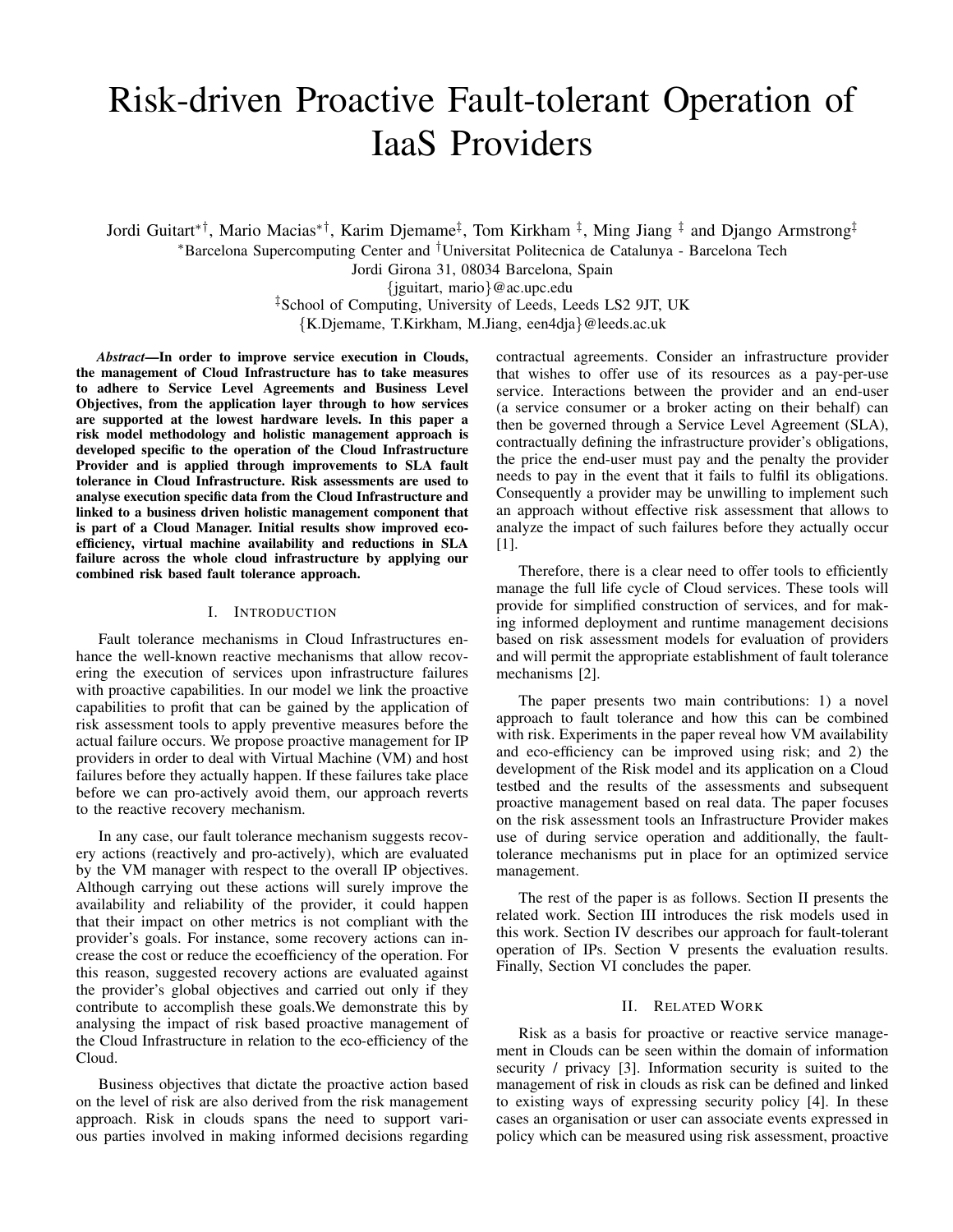# Risk-driven Proactive Fault-tolerant Operation of IaaS Providers

Jordi Guitart∗†, Mario Macias∗†, Karim Djemame‡ , Tom Kirkham ‡ , Ming Jiang ‡ and Django Armstrong‡ <sup>∗</sup>Barcelona Supercomputing Center and †Universitat Politecnica de Catalunya - Barcelona Tech

Jordi Girona 31, 08034 Barcelona, Spain

{jguitart, mario}@ac.upc.edu

‡School of Computing, University of Leeds, Leeds LS2 9JT, UK

{K.Djemame, T.Kirkham, M.Jiang, een4dja}@leeds.ac.uk

*Abstract*—In order to improve service execution in Clouds, the management of Cloud Infrastructure has to take measures to adhere to Service Level Agreements and Business Level Objectives, from the application layer through to how services are supported at the lowest hardware levels. In this paper a risk model methodology and holistic management approach is developed specific to the operation of the Cloud Infrastructure Provider and is applied through improvements to SLA fault tolerance in Cloud Infrastructure. Risk assessments are used to analyse execution specific data from the Cloud Infrastructure and linked to a business driven holistic management component that is part of a Cloud Manager. Initial results show improved ecoefficiency, virtual machine availability and reductions in SLA failure across the whole cloud infrastructure by applying our combined risk based fault tolerance approach.

#### I. INTRODUCTION

Fault tolerance mechanisms in Cloud Infrastructures enhance the well-known reactive mechanisms that allow recovering the execution of services upon infrastructure failures with proactive capabilities. In our model we link the proactive capabilities to profit that can be gained by the application of risk assessment tools to apply preventive measures before the actual failure occurs. We propose proactive management for IP providers in order to deal with Virtual Machine (VM) and host failures before they actually happen. If these failures take place before we can pro-actively avoid them, our approach reverts to the reactive recovery mechanism.

In any case, our fault tolerance mechanism suggests recovery actions (reactively and pro-actively), which are evaluated by the VM manager with respect to the overall IP objectives. Although carrying out these actions will surely improve the availability and reliability of the provider, it could happen that their impact on other metrics is not compliant with the provider's goals. For instance, some recovery actions can increase the cost or reduce the ecoefficiency of the operation. For this reason, suggested recovery actions are evaluated against the provider's global objectives and carried out only if they contribute to accomplish these goals.We demonstrate this by analysing the impact of risk based proactive management of the Cloud Infrastructure in relation to the eco-efficiency of the Cloud.

Business objectives that dictate the proactive action based on the level of risk are also derived from the risk management approach. Risk in clouds spans the need to support various parties involved in making informed decisions regarding contractual agreements. Consider an infrastructure provider that wishes to offer use of its resources as a pay-per-use service. Interactions between the provider and an end-user (a service consumer or a broker acting on their behalf) can then be governed through a Service Level Agreement (SLA), contractually defining the infrastructure provider's obligations, the price the end-user must pay and the penalty the provider needs to pay in the event that it fails to fulfil its obligations. Consequently a provider may be unwilling to implement such an approach without effective risk assessment that allows to analyze the impact of such failures before they actually occur [1].

Therefore, there is a clear need to offer tools to efficiently manage the full life cycle of Cloud services. These tools will provide for simplified construction of services, and for making informed deployment and runtime management decisions based on risk assessment models for evaluation of providers and will permit the appropriate establishment of fault tolerance mechanisms [2].

The paper presents two main contributions: 1) a novel approach to fault tolerance and how this can be combined with risk. Experiments in the paper reveal how VM availability and eco-efficiency can be improved using risk; and 2) the development of the Risk model and its application on a Cloud testbed and the results of the assessments and subsequent proactive management based on real data. The paper focuses on the risk assessment tools an Infrastructure Provider makes use of during service operation and additionally, the faulttolerance mechanisms put in place for an optimized service management.

The rest of the paper is as follows. Section II presents the related work. Section III introduces the risk models used in this work. Section IV describes our approach for fault-tolerant operation of IPs. Section V presents the evaluation results. Finally, Section VI concludes the paper.

#### II. RELATED WORK

Risk as a basis for proactive or reactive service management in Clouds can be seen within the domain of information security / privacy [3]. Information security is suited to the management of risk in clouds as risk can be defined and linked to existing ways of expressing security policy [4]. In these cases an organisation or user can associate events expressed in policy which can be measured using risk assessment, proactive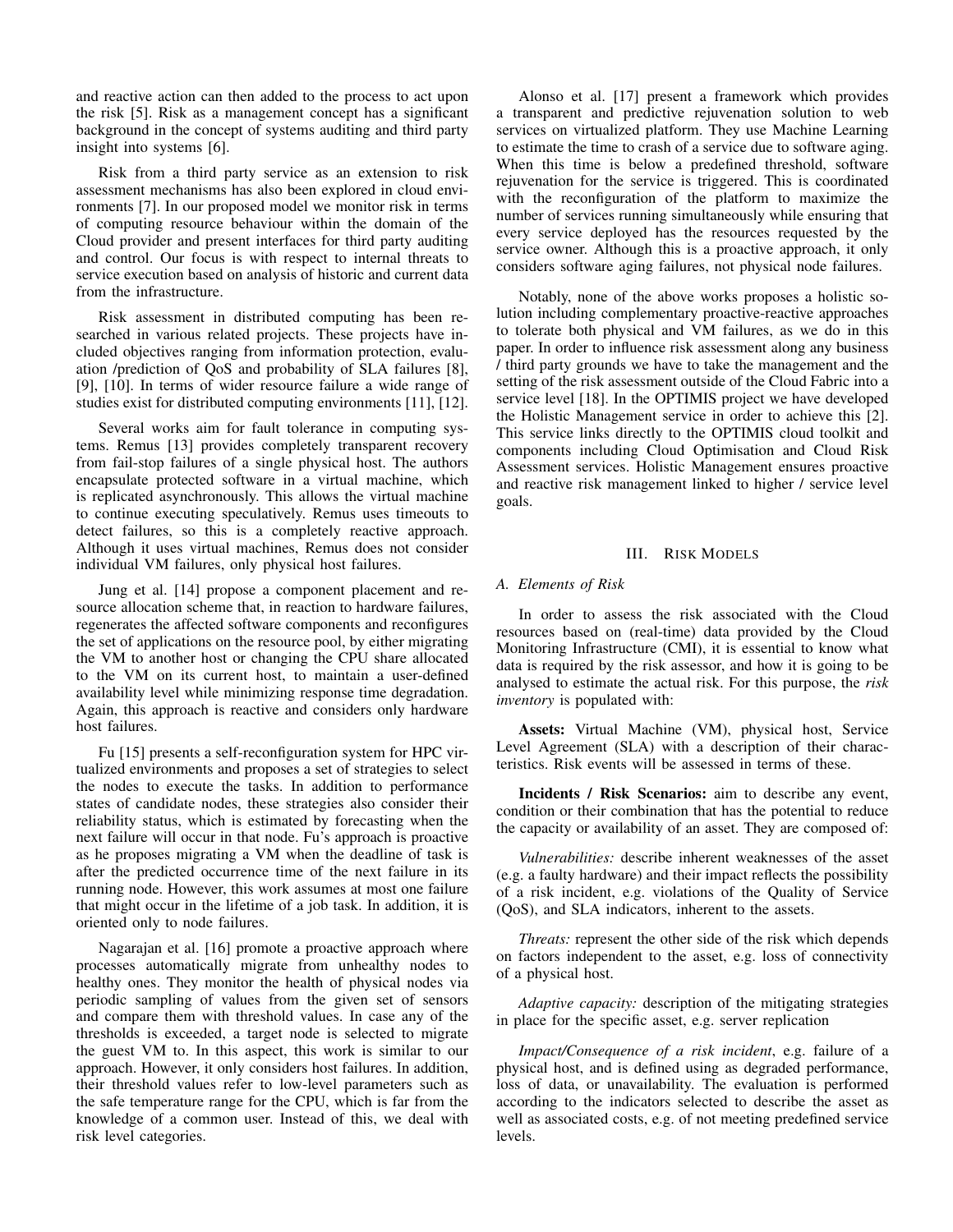and reactive action can then added to the process to act upon the risk [5]. Risk as a management concept has a significant background in the concept of systems auditing and third party insight into systems [6].

Risk from a third party service as an extension to risk assessment mechanisms has also been explored in cloud environments [7]. In our proposed model we monitor risk in terms of computing resource behaviour within the domain of the Cloud provider and present interfaces for third party auditing and control. Our focus is with respect to internal threats to service execution based on analysis of historic and current data from the infrastructure.

Risk assessment in distributed computing has been researched in various related projects. These projects have included objectives ranging from information protection, evaluation /prediction of QoS and probability of SLA failures [8], [9], [10]. In terms of wider resource failure a wide range of studies exist for distributed computing environments [11], [12].

Several works aim for fault tolerance in computing systems. Remus [13] provides completely transparent recovery from fail-stop failures of a single physical host. The authors encapsulate protected software in a virtual machine, which is replicated asynchronously. This allows the virtual machine to continue executing speculatively. Remus uses timeouts to detect failures, so this is a completely reactive approach. Although it uses virtual machines, Remus does not consider individual VM failures, only physical host failures.

Jung et al. [14] propose a component placement and resource allocation scheme that, in reaction to hardware failures, regenerates the affected software components and reconfigures the set of applications on the resource pool, by either migrating the VM to another host or changing the CPU share allocated to the VM on its current host, to maintain a user-defined availability level while minimizing response time degradation. Again, this approach is reactive and considers only hardware host failures.

Fu [15] presents a self-reconfiguration system for HPC virtualized environments and proposes a set of strategies to select the nodes to execute the tasks. In addition to performance states of candidate nodes, these strategies also consider their reliability status, which is estimated by forecasting when the next failure will occur in that node. Fu's approach is proactive as he proposes migrating a VM when the deadline of task is after the predicted occurrence time of the next failure in its running node. However, this work assumes at most one failure that might occur in the lifetime of a job task. In addition, it is oriented only to node failures.

Nagarajan et al. [16] promote a proactive approach where processes automatically migrate from unhealthy nodes to healthy ones. They monitor the health of physical nodes via periodic sampling of values from the given set of sensors and compare them with threshold values. In case any of the thresholds is exceeded, a target node is selected to migrate the guest VM to. In this aspect, this work is similar to our approach. However, it only considers host failures. In addition, their threshold values refer to low-level parameters such as the safe temperature range for the CPU, which is far from the knowledge of a common user. Instead of this, we deal with risk level categories.

Alonso et al. [17] present a framework which provides a transparent and predictive rejuvenation solution to web services on virtualized platform. They use Machine Learning to estimate the time to crash of a service due to software aging. When this time is below a predefined threshold, software rejuvenation for the service is triggered. This is coordinated with the reconfiguration of the platform to maximize the number of services running simultaneously while ensuring that every service deployed has the resources requested by the service owner. Although this is a proactive approach, it only considers software aging failures, not physical node failures.

Notably, none of the above works proposes a holistic solution including complementary proactive-reactive approaches to tolerate both physical and VM failures, as we do in this paper. In order to influence risk assessment along any business / third party grounds we have to take the management and the setting of the risk assessment outside of the Cloud Fabric into a service level [18]. In the OPTIMIS project we have developed the Holistic Management service in order to achieve this [2]. This service links directly to the OPTIMIS cloud toolkit and components including Cloud Optimisation and Cloud Risk Assessment services. Holistic Management ensures proactive and reactive risk management linked to higher / service level goals.

#### III. RISK MODELS

#### *A. Elements of Risk*

In order to assess the risk associated with the Cloud resources based on (real-time) data provided by the Cloud Monitoring Infrastructure (CMI), it is essential to know what data is required by the risk assessor, and how it is going to be analysed to estimate the actual risk. For this purpose, the *risk inventory* is populated with:

Assets: Virtual Machine (VM), physical host, Service Level Agreement (SLA) with a description of their characteristics. Risk events will be assessed in terms of these.

Incidents / Risk Scenarios: aim to describe any event, condition or their combination that has the potential to reduce the capacity or availability of an asset. They are composed of:

*Vulnerabilities:* describe inherent weaknesses of the asset (e.g. a faulty hardware) and their impact reflects the possibility of a risk incident, e.g. violations of the Quality of Service (QoS), and SLA indicators, inherent to the assets.

*Threats:* represent the other side of the risk which depends on factors independent to the asset, e.g. loss of connectivity of a physical host.

*Adaptive capacity:* description of the mitigating strategies in place for the specific asset, e.g. server replication

*Impact/Consequence of a risk incident*, e.g. failure of a physical host, and is defined using as degraded performance, loss of data, or unavailability. The evaluation is performed according to the indicators selected to describe the asset as well as associated costs, e.g. of not meeting predefined service levels.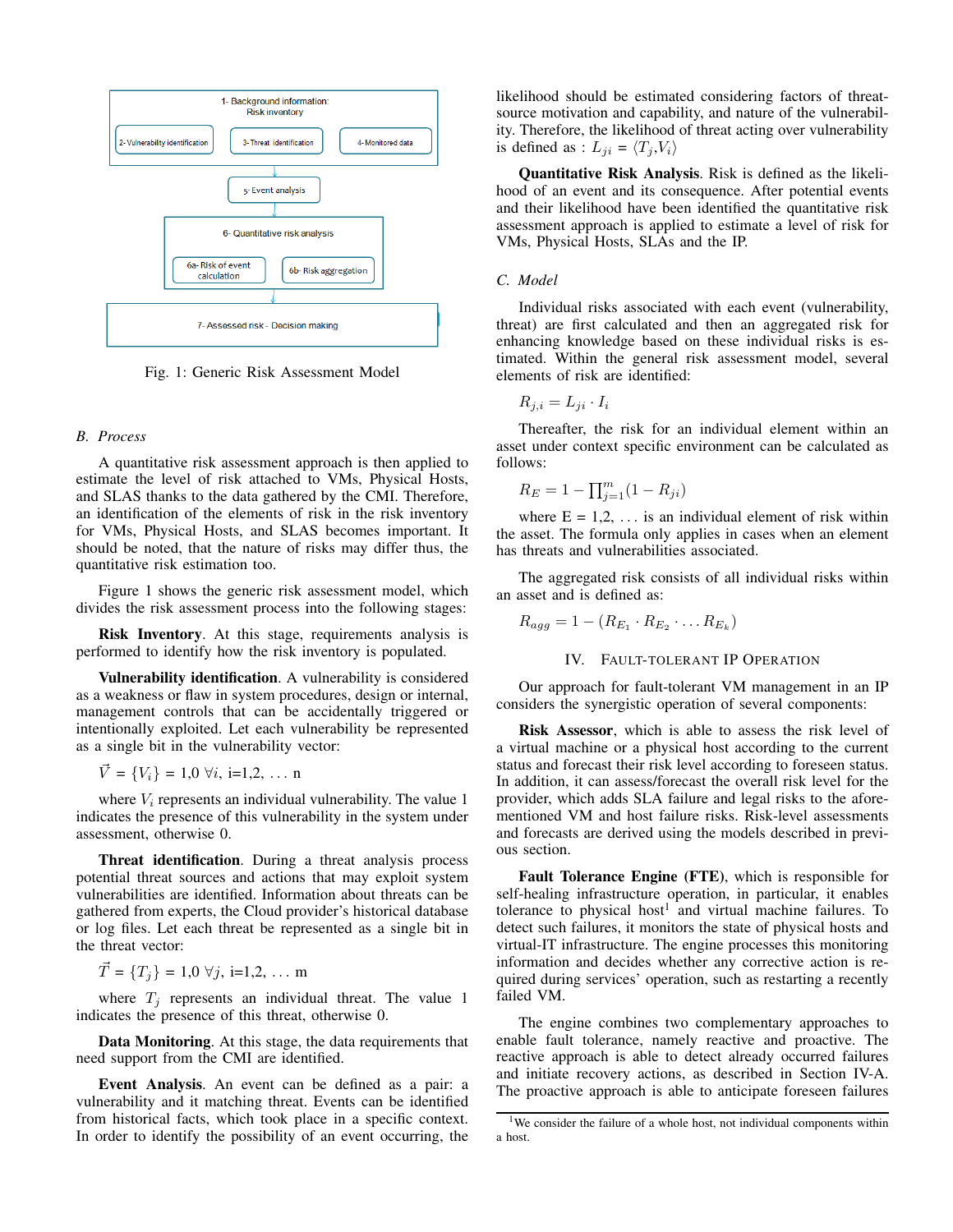

Fig. 1: Generic Risk Assessment Model

#### *B. Process*

A quantitative risk assessment approach is then applied to estimate the level of risk attached to VMs, Physical Hosts, and SLAS thanks to the data gathered by the CMI. Therefore, an identification of the elements of risk in the risk inventory for VMs, Physical Hosts, and SLAS becomes important. It should be noted, that the nature of risks may differ thus, the quantitative risk estimation too.

Figure 1 shows the generic risk assessment model, which divides the risk assessment process into the following stages:

Risk Inventory. At this stage, requirements analysis is performed to identify how the risk inventory is populated.

Vulnerability identification. A vulnerability is considered as a weakness or flaw in system procedures, design or internal, management controls that can be accidentally triggered or intentionally exploited. Let each vulnerability be represented as a single bit in the vulnerability vector:

$$
\vec{V} = \{V_i\} = 1,0 \,\forall i, i=1,2, \ldots n
$$

where  $V_i$  represents an individual vulnerability. The value 1 indicates the presence of this vulnerability in the system under assessment, otherwise 0.

Threat identification. During a threat analysis process potential threat sources and actions that may exploit system vulnerabilities are identified. Information about threats can be gathered from experts, the Cloud provider's historical database or log files. Let each threat be represented as a single bit in the threat vector:

$$
\vec{T} = \{T_j\} = 1,0 \,\forall j, i=1,2,\ldots m
$$

where  $T_j$  represents an individual threat. The value 1 indicates the presence of this threat, otherwise 0.

Data Monitoring. At this stage, the data requirements that need support from the CMI are identified.

Event Analysis. An event can be defined as a pair: a vulnerability and it matching threat. Events can be identified from historical facts, which took place in a specific context. In order to identify the possibility of an event occurring, the likelihood should be estimated considering factors of threatsource motivation and capability, and nature of the vulnerability. Therefore, the likelihood of threat acting over vulnerability is defined as :  $L_{ii} = \langle T_i, V_i \rangle$ 

Quantitative Risk Analysis. Risk is defined as the likelihood of an event and its consequence. After potential events and their likelihood have been identified the quantitative risk assessment approach is applied to estimate a level of risk for VMs, Physical Hosts, SLAs and the IP.

## *C. Model*

Individual risks associated with each event (vulnerability, threat) are first calculated and then an aggregated risk for enhancing knowledge based on these individual risks is estimated. Within the general risk assessment model, several elements of risk are identified:

$$
R_{j,i} = L_{ji} \cdot I_i
$$

Thereafter, the risk for an individual element within an asset under context specific environment can be calculated as follows:

$$
R_E = 1 - \prod_{j=1}^{m} (1 - R_{ji})
$$

where  $E = 1, 2, \ldots$  is an individual element of risk within the asset. The formula only applies in cases when an element has threats and vulnerabilities associated.

The aggregated risk consists of all individual risks within an asset and is defined as:

$$
R_{agg} = 1 - (R_{E_1} \cdot R_{E_2} \cdot \ldots R_{E_k})
$$

#### IV. FAULT-TOLERANT IP OPERATION

Our approach for fault-tolerant VM management in an IP considers the synergistic operation of several components:

Risk Assessor, which is able to assess the risk level of a virtual machine or a physical host according to the current status and forecast their risk level according to foreseen status. In addition, it can assess/forecast the overall risk level for the provider, which adds SLA failure and legal risks to the aforementioned VM and host failure risks. Risk-level assessments and forecasts are derived using the models described in previous section.

Fault Tolerance Engine (FTE), which is responsible for self-healing infrastructure operation, in particular, it enables tolerance to physical host<sup>1</sup> and virtual machine failures. To detect such failures, it monitors the state of physical hosts and virtual-IT infrastructure. The engine processes this monitoring information and decides whether any corrective action is required during services' operation, such as restarting a recently failed VM.

The engine combines two complementary approaches to enable fault tolerance, namely reactive and proactive. The reactive approach is able to detect already occurred failures and initiate recovery actions, as described in Section IV-A. The proactive approach is able to anticipate foreseen failures

<sup>&</sup>lt;sup>1</sup>We consider the failure of a whole host, not individual components within a host.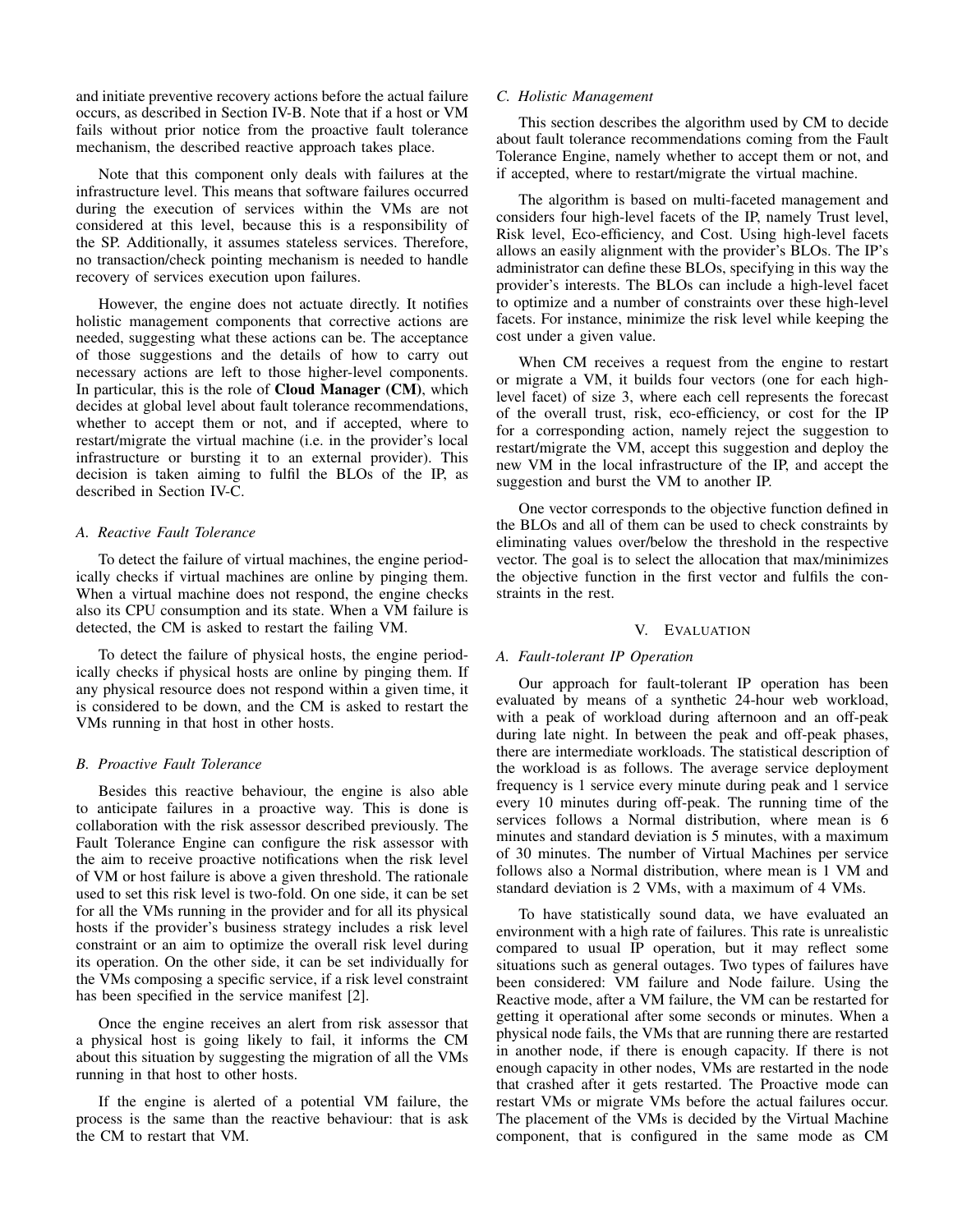and initiate preventive recovery actions before the actual failure occurs, as described in Section IV-B. Note that if a host or VM fails without prior notice from the proactive fault tolerance mechanism, the described reactive approach takes place.

Note that this component only deals with failures at the infrastructure level. This means that software failures occurred during the execution of services within the VMs are not considered at this level, because this is a responsibility of the SP. Additionally, it assumes stateless services. Therefore, no transaction/check pointing mechanism is needed to handle recovery of services execution upon failures.

However, the engine does not actuate directly. It notifies holistic management components that corrective actions are needed, suggesting what these actions can be. The acceptance of those suggestions and the details of how to carry out necessary actions are left to those higher-level components. In particular, this is the role of Cloud Manager (CM), which decides at global level about fault tolerance recommendations, whether to accept them or not, and if accepted, where to restart/migrate the virtual machine (i.e. in the provider's local infrastructure or bursting it to an external provider). This decision is taken aiming to fulfil the BLOs of the IP, as described in Section IV-C.

#### *A. Reactive Fault Tolerance*

To detect the failure of virtual machines, the engine periodically checks if virtual machines are online by pinging them. When a virtual machine does not respond, the engine checks also its CPU consumption and its state. When a VM failure is detected, the CM is asked to restart the failing VM.

To detect the failure of physical hosts, the engine periodically checks if physical hosts are online by pinging them. If any physical resource does not respond within a given time, it is considered to be down, and the CM is asked to restart the VMs running in that host in other hosts.

#### *B. Proactive Fault Tolerance*

Besides this reactive behaviour, the engine is also able to anticipate failures in a proactive way. This is done is collaboration with the risk assessor described previously. The Fault Tolerance Engine can configure the risk assessor with the aim to receive proactive notifications when the risk level of VM or host failure is above a given threshold. The rationale used to set this risk level is two-fold. On one side, it can be set for all the VMs running in the provider and for all its physical hosts if the provider's business strategy includes a risk level constraint or an aim to optimize the overall risk level during its operation. On the other side, it can be set individually for the VMs composing a specific service, if a risk level constraint has been specified in the service manifest [2].

Once the engine receives an alert from risk assessor that a physical host is going likely to fail, it informs the CM about this situation by suggesting the migration of all the VMs running in that host to other hosts.

If the engine is alerted of a potential VM failure, the process is the same than the reactive behaviour: that is ask the CM to restart that VM.

#### *C. Holistic Management*

This section describes the algorithm used by CM to decide about fault tolerance recommendations coming from the Fault Tolerance Engine, namely whether to accept them or not, and if accepted, where to restart/migrate the virtual machine.

The algorithm is based on multi-faceted management and considers four high-level facets of the IP, namely Trust level, Risk level, Eco-efficiency, and Cost. Using high-level facets allows an easily alignment with the provider's BLOs. The IP's administrator can define these BLOs, specifying in this way the provider's interests. The BLOs can include a high-level facet to optimize and a number of constraints over these high-level facets. For instance, minimize the risk level while keeping the cost under a given value.

When CM receives a request from the engine to restart or migrate a VM, it builds four vectors (one for each highlevel facet) of size 3, where each cell represents the forecast of the overall trust, risk, eco-efficiency, or cost for the IP for a corresponding action, namely reject the suggestion to restart/migrate the VM, accept this suggestion and deploy the new VM in the local infrastructure of the IP, and accept the suggestion and burst the VM to another IP.

One vector corresponds to the objective function defined in the BLOs and all of them can be used to check constraints by eliminating values over/below the threshold in the respective vector. The goal is to select the allocation that max/minimizes the objective function in the first vector and fulfils the constraints in the rest.

## V. EVALUATION

#### *A. Fault-tolerant IP Operation*

Our approach for fault-tolerant IP operation has been evaluated by means of a synthetic 24-hour web workload, with a peak of workload during afternoon and an off-peak during late night. In between the peak and off-peak phases, there are intermediate workloads. The statistical description of the workload is as follows. The average service deployment frequency is 1 service every minute during peak and 1 service every 10 minutes during off-peak. The running time of the services follows a Normal distribution, where mean is 6 minutes and standard deviation is 5 minutes, with a maximum of 30 minutes. The number of Virtual Machines per service follows also a Normal distribution, where mean is 1 VM and standard deviation is 2 VMs, with a maximum of 4 VMs.

To have statistically sound data, we have evaluated an environment with a high rate of failures. This rate is unrealistic compared to usual IP operation, but it may reflect some situations such as general outages. Two types of failures have been considered: VM failure and Node failure. Using the Reactive mode, after a VM failure, the VM can be restarted for getting it operational after some seconds or minutes. When a physical node fails, the VMs that are running there are restarted in another node, if there is enough capacity. If there is not enough capacity in other nodes, VMs are restarted in the node that crashed after it gets restarted. The Proactive mode can restart VMs or migrate VMs before the actual failures occur. The placement of the VMs is decided by the Virtual Machine component, that is configured in the same mode as CM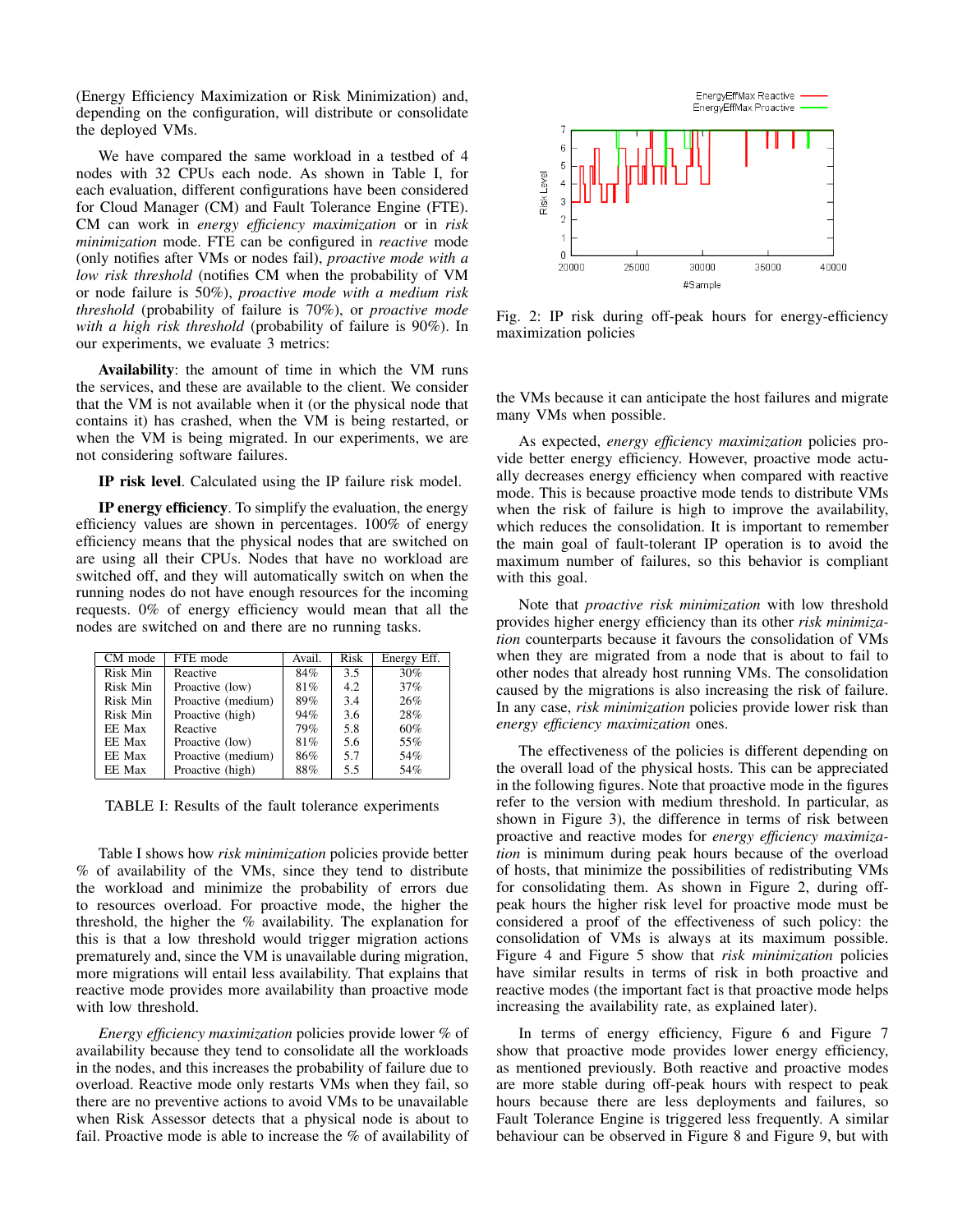(Energy Efficiency Maximization or Risk Minimization) and, depending on the configuration, will distribute or consolidate the deployed VMs.

We have compared the same workload in a testbed of 4 nodes with 32 CPUs each node. As shown in Table I, for each evaluation, different configurations have been considered for Cloud Manager (CM) and Fault Tolerance Engine (FTE). CM can work in *energy efficiency maximization* or in *risk minimization* mode. FTE can be configured in *reactive* mode (only notifies after VMs or nodes fail), *proactive mode with a low risk threshold* (notifies CM when the probability of VM or node failure is 50%), *proactive mode with a medium risk threshold* (probability of failure is 70%), or *proactive mode with a high risk threshold* (probability of failure is 90%). In our experiments, we evaluate 3 metrics:

Availability: the amount of time in which the VM runs the services, and these are available to the client. We consider that the VM is not available when it (or the physical node that contains it) has crashed, when the VM is being restarted, or when the VM is being migrated. In our experiments, we are not considering software failures.

IP risk level. Calculated using the IP failure risk model.

IP energy efficiency. To simplify the evaluation, the energy efficiency values are shown in percentages. 100% of energy efficiency means that the physical nodes that are switched on are using all their CPUs. Nodes that have no workload are switched off, and they will automatically switch on when the running nodes do not have enough resources for the incoming requests. 0% of energy efficiency would mean that all the nodes are switched on and there are no running tasks.

| CM mode  | FTE mode           | Avail. | Risk | Energy Eff. |
|----------|--------------------|--------|------|-------------|
| Risk Min | Reactive           | 84%    | 3.5  | 30%         |
| Risk Min | Proactive (low)    | 81%    | 4.2  | 37%         |
| Risk Min | Proactive (medium) | 89%    | 3.4  | 26%         |
| Risk Min | Proactive (high)   | 94%    | 3.6  | 28%         |
| EE Max   | Reactive           | 79%    | 5.8  | 60%         |
| EE Max   | Proactive (low)    | 81%    | 5.6  | 55%         |
| EE Max   | Proactive (medium) | 86%    | 5.7  | 54%         |
| EE Max   | Proactive (high)   | 88%    | 5.5  | 54%         |

TABLE I: Results of the fault tolerance experiments

Table I shows how *risk minimization* policies provide better % of availability of the VMs, since they tend to distribute the workload and minimize the probability of errors due to resources overload. For proactive mode, the higher the threshold, the higher the % availability. The explanation for this is that a low threshold would trigger migration actions prematurely and, since the VM is unavailable during migration, more migrations will entail less availability. That explains that reactive mode provides more availability than proactive mode with low threshold.

*Energy efficiency maximization* policies provide lower % of availability because they tend to consolidate all the workloads in the nodes, and this increases the probability of failure due to overload. Reactive mode only restarts VMs when they fail, so there are no preventive actions to avoid VMs to be unavailable when Risk Assessor detects that a physical node is about to fail. Proactive mode is able to increase the % of availability of



Fig. 2: IP risk during off-peak hours for energy-efficiency maximization policies

the VMs because it can anticipate the host failures and migrate many VMs when possible.

As expected, *energy efficiency maximization* policies provide better energy efficiency. However, proactive mode actually decreases energy efficiency when compared with reactive mode. This is because proactive mode tends to distribute VMs when the risk of failure is high to improve the availability, which reduces the consolidation. It is important to remember the main goal of fault-tolerant IP operation is to avoid the maximum number of failures, so this behavior is compliant with this goal.

Note that *proactive risk minimization* with low threshold provides higher energy efficiency than its other *risk minimization* counterparts because it favours the consolidation of VMs when they are migrated from a node that is about to fail to other nodes that already host running VMs. The consolidation caused by the migrations is also increasing the risk of failure. In any case, *risk minimization* policies provide lower risk than *energy efficiency maximization* ones.

The effectiveness of the policies is different depending on the overall load of the physical hosts. This can be appreciated in the following figures. Note that proactive mode in the figures refer to the version with medium threshold. In particular, as shown in Figure 3), the difference in terms of risk between proactive and reactive modes for *energy efficiency maximization* is minimum during peak hours because of the overload of hosts, that minimize the possibilities of redistributing VMs for consolidating them. As shown in Figure 2, during offpeak hours the higher risk level for proactive mode must be considered a proof of the effectiveness of such policy: the consolidation of VMs is always at its maximum possible. Figure 4 and Figure 5 show that *risk minimization* policies have similar results in terms of risk in both proactive and reactive modes (the important fact is that proactive mode helps increasing the availability rate, as explained later).

In terms of energy efficiency, Figure 6 and Figure 7 show that proactive mode provides lower energy efficiency, as mentioned previously. Both reactive and proactive modes are more stable during off-peak hours with respect to peak hours because there are less deployments and failures, so Fault Tolerance Engine is triggered less frequently. A similar behaviour can be observed in Figure 8 and Figure 9, but with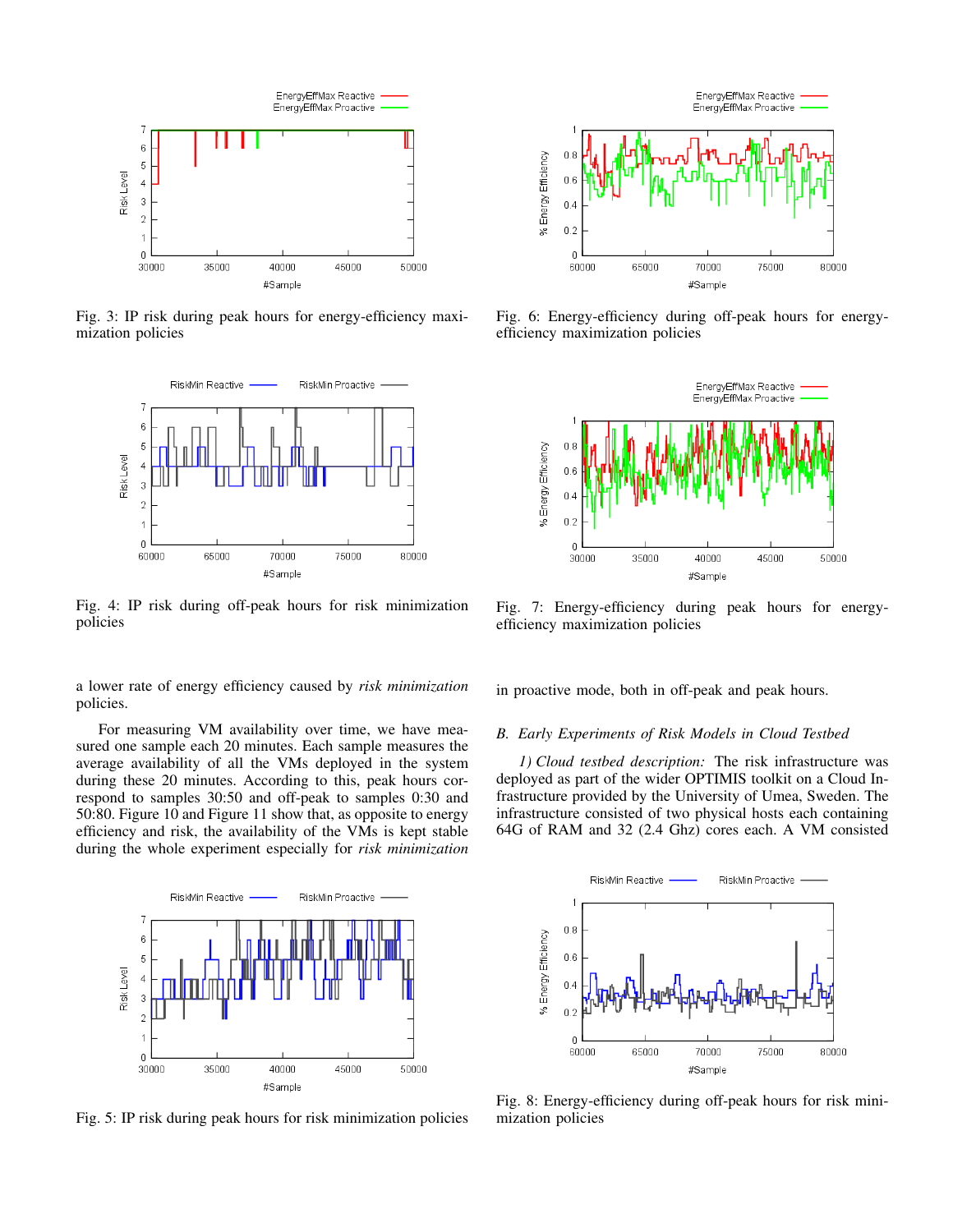

Fig. 3: IP risk during peak hours for energy-efficiency maximization policies



Fig. 4: IP risk during off-peak hours for risk minimization policies

a lower rate of energy efficiency caused by *risk minimization* policies.

For measuring VM availability over time, we have measured one sample each 20 minutes. Each sample measures the average availability of all the VMs deployed in the system during these 20 minutes. According to this, peak hours correspond to samples 30:50 and off-peak to samples 0:30 and 50:80. Figure 10 and Figure 11 show that, as opposite to energy efficiency and risk, the availability of the VMs is kept stable during the whole experiment especially for *risk minimization*



Fig. 5: IP risk during peak hours for risk minimization policies



Fig. 6: Energy-efficiency during off-peak hours for energyefficiency maximization policies



Fig. 7: Energy-efficiency during peak hours for energyefficiency maximization policies

in proactive mode, both in off-peak and peak hours.

#### *B. Early Experiments of Risk Models in Cloud Testbed*

*1) Cloud testbed description:* The risk infrastructure was deployed as part of the wider OPTIMIS toolkit on a Cloud Infrastructure provided by the University of Umea, Sweden. The infrastructure consisted of two physical hosts each containing 64G of RAM and 32 (2.4 Ghz) cores each. A VM consisted



Fig. 8: Energy-efficiency during off-peak hours for risk minimization policies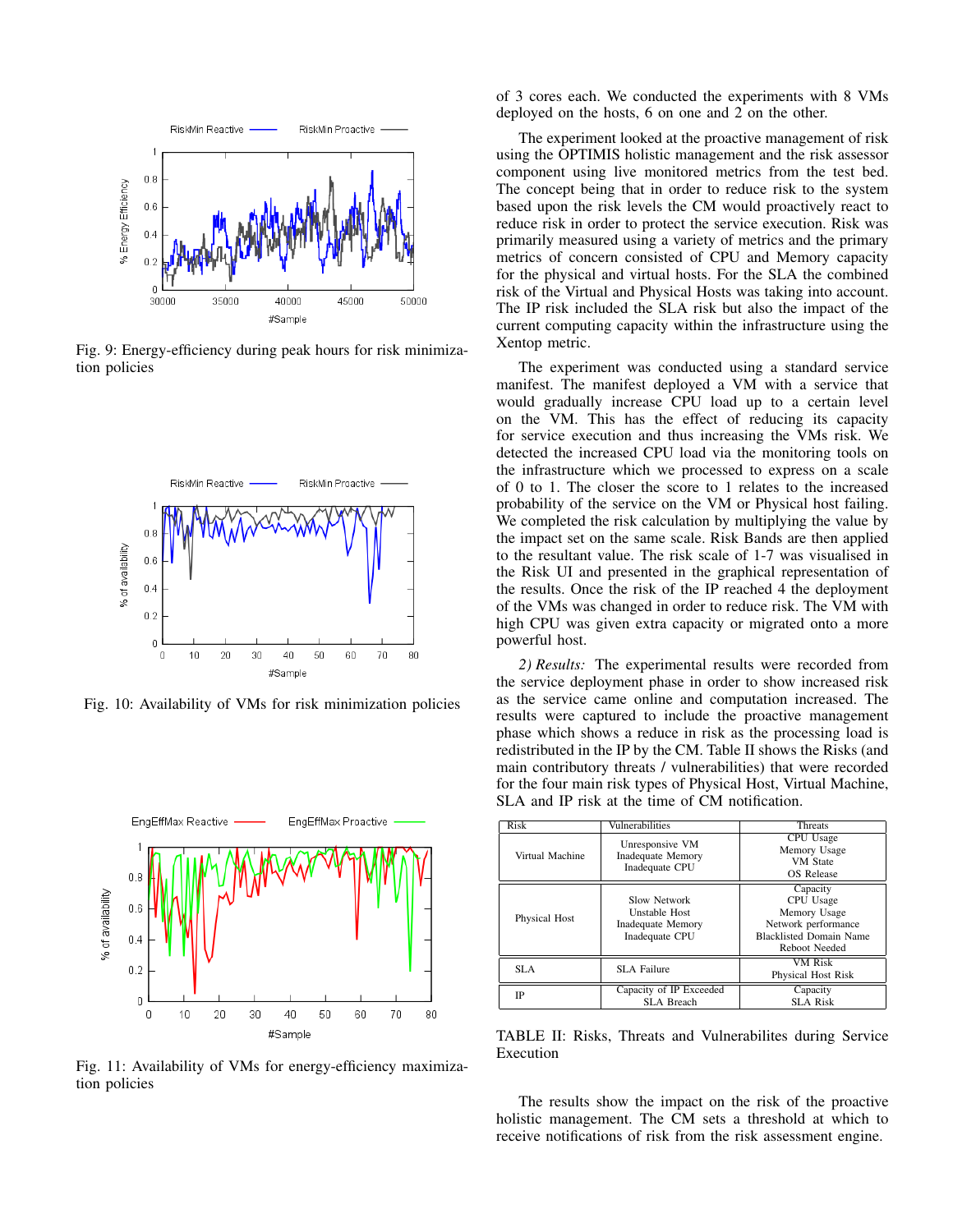

Fig. 9: Energy-efficiency during peak hours for risk minimization policies



Fig. 10: Availability of VMs for risk minimization policies



Fig. 11: Availability of VMs for energy-efficiency maximization policies

of 3 cores each. We conducted the experiments with 8 VMs deployed on the hosts, 6 on one and 2 on the other.

The experiment looked at the proactive management of risk using the OPTIMIS holistic management and the risk assessor component using live monitored metrics from the test bed. The concept being that in order to reduce risk to the system based upon the risk levels the CM would proactively react to reduce risk in order to protect the service execution. Risk was primarily measured using a variety of metrics and the primary metrics of concern consisted of CPU and Memory capacity for the physical and virtual hosts. For the SLA the combined risk of the Virtual and Physical Hosts was taking into account. The IP risk included the SLA risk but also the impact of the current computing capacity within the infrastructure using the Xentop metric.

The experiment was conducted using a standard service manifest. The manifest deployed a VM with a service that would gradually increase CPU load up to a certain level on the VM. This has the effect of reducing its capacity for service execution and thus increasing the VMs risk. We detected the increased CPU load via the monitoring tools on the infrastructure which we processed to express on a scale of 0 to 1. The closer the score to 1 relates to the increased probability of the service on the VM or Physical host failing. We completed the risk calculation by multiplying the value by the impact set on the same scale. Risk Bands are then applied to the resultant value. The risk scale of 1-7 was visualised in the Risk UI and presented in the graphical representation of the results. Once the risk of the IP reached 4 the deployment of the VMs was changed in order to reduce risk. The VM with high CPU was given extra capacity or migrated onto a more powerful host.

*2) Results:* The experimental results were recorded from the service deployment phase in order to show increased risk as the service came online and computation increased. The results were captured to include the proactive management phase which shows a reduce in risk as the processing load is redistributed in the IP by the CM. Table II shows the Risks (and main contributory threats / vulnerabilities) that were recorded for the four main risk types of Physical Host, Virtual Machine, SLA and IP risk at the time of CM notification.

| Risk            | Vulnerabilities                                                      | <b>Threats</b>                                                                                                  |  |
|-----------------|----------------------------------------------------------------------|-----------------------------------------------------------------------------------------------------------------|--|
| Virtual Machine | Unresponsive VM<br><b>Inadequate Memory</b><br>Inadequate CPU        | CPU Usage<br>Memory Usage<br><b>VM</b> State<br>OS Release                                                      |  |
| Physical Host   | Slow Network<br>Unstable Host<br>Inadequate Memory<br>Inadequate CPU | Capacity<br>CPU Usage<br>Memory Usage<br>Network performance<br><b>Blacklisted Domain Name</b><br>Reboot Needed |  |
| SLA.            | SLA Failure                                                          | <b>VM Risk</b><br>Physical Host Risk                                                                            |  |
| IP              | Capacity of IP Exceeded<br>SLA Breach                                | Capacity<br>SLA Risk                                                                                            |  |

TABLE II: Risks, Threats and Vulnerabilites during Service Execution

The results show the impact on the risk of the proactive holistic management. The CM sets a threshold at which to receive notifications of risk from the risk assessment engine.